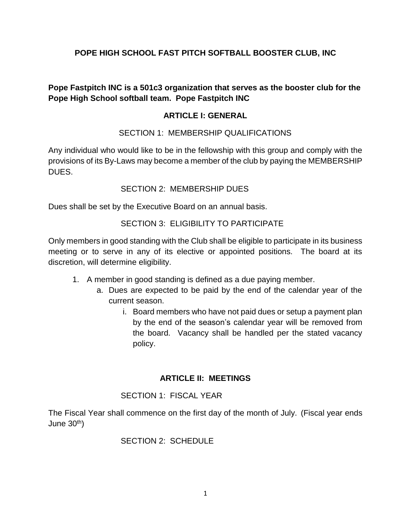### **POPE HIGH SCHOOL FAST PITCH SOFTBALL BOOSTER CLUB, INC**

**Pope Fastpitch INC is a 501c3 organization that serves as the booster club for the Pope High School softball team. Pope Fastpitch INC** 

#### **ARTICLE I: GENERAL**

#### SECTION 1: MEMBERSHIP QUALIFICATIONS

Any individual who would like to be in the fellowship with this group and comply with the provisions of its By-Laws may become a member of the club by paying the MEMBERSHIP DUES.

#### SECTION 2: MEMBERSHIP DUES

Dues shall be set by the Executive Board on an annual basis.

#### SECTION 3: ELIGIBILITY TO PARTICIPATE

Only members in good standing with the Club shall be eligible to participate in its business meeting or to serve in any of its elective or appointed positions. The board at its discretion, will determine eligibility.

- 1. A member in good standing is defined as a due paying member.
	- a. Dues are expected to be paid by the end of the calendar year of the current season.
		- i. Board members who have not paid dues or setup a payment plan by the end of the season's calendar year will be removed from the board. Vacancy shall be handled per the stated vacancy policy.

#### **ARTICLE II: MEETINGS**

#### SECTION 1: FISCAL YEAR

The Fiscal Year shall commence on the first day of the month of July. (Fiscal year ends June 30th)

#### SECTION 2: SCHEDULE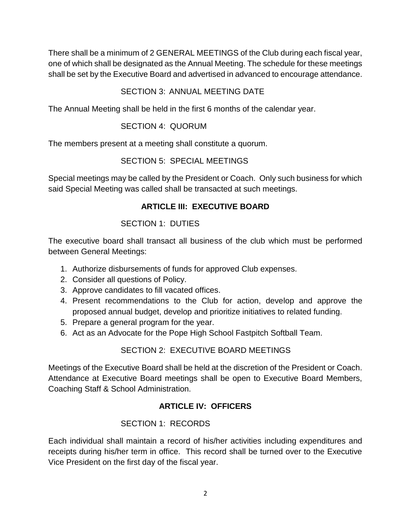There shall be a minimum of 2 GENERAL MEETINGS of the Club during each fiscal year, one of which shall be designated as the Annual Meeting. The schedule for these meetings shall be set by the Executive Board and advertised in advanced to encourage attendance.

### SECTION 3: ANNUAL MEETING DATE

The Annual Meeting shall be held in the first 6 months of the calendar year.

### SECTION 4: QUORUM

The members present at a meeting shall constitute a quorum.

## SECTION 5: SPECIAL MEETINGS

Special meetings may be called by the President or Coach. Only such business for which said Special Meeting was called shall be transacted at such meetings.

# **ARTICLE III: EXECUTIVE BOARD**

## SECTION 1: DUTIES

The executive board shall transact all business of the club which must be performed between General Meetings:

- 1. Authorize disbursements of funds for approved Club expenses.
- 2. Consider all questions of Policy.
- 3. Approve candidates to fill vacated offices.
- 4. Present recommendations to the Club for action, develop and approve the proposed annual budget, develop and prioritize initiatives to related funding.
- 5. Prepare a general program for the year.
- 6. Act as an Advocate for the Pope High School Fastpitch Softball Team.

# SECTION 2: EXECUTIVE BOARD MEETINGS

Meetings of the Executive Board shall be held at the discretion of the President or Coach. Attendance at Executive Board meetings shall be open to Executive Board Members, Coaching Staff & School Administration.

## **ARTICLE IV: OFFICERS**

## SECTION 1: RECORDS

Each individual shall maintain a record of his/her activities including expenditures and receipts during his/her term in office. This record shall be turned over to the Executive Vice President on the first day of the fiscal year.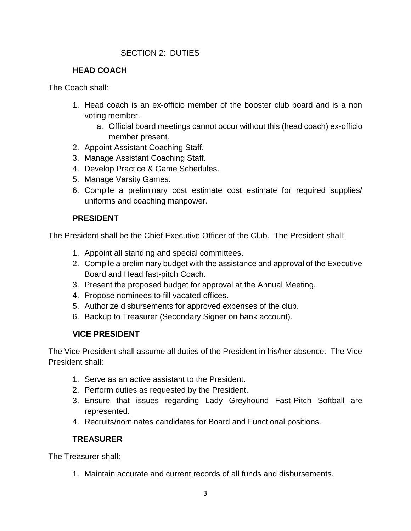### SECTION 2: DUTIES

### **HEAD COACH**

The Coach shall:

- 1. Head coach is an ex-officio member of the booster club board and is a non voting member.
	- a. Official board meetings cannot occur without this (head coach) ex-officio member present.
- 2. Appoint Assistant Coaching Staff.
- 3. Manage Assistant Coaching Staff.
- 4. Develop Practice & Game Schedules.
- 5. Manage Varsity Games.
- 6. Compile a preliminary cost estimate cost estimate for required supplies/ uniforms and coaching manpower.

### **PRESIDENT**

The President shall be the Chief Executive Officer of the Club. The President shall:

- 1. Appoint all standing and special committees.
- 2. Compile a preliminary budget with the assistance and approval of the Executive Board and Head fast-pitch Coach.
- 3. Present the proposed budget for approval at the Annual Meeting.
- 4. Propose nominees to fill vacated offices.
- 5. Authorize disbursements for approved expenses of the club.
- 6. Backup to Treasurer (Secondary Signer on bank account).

### **VICE PRESIDENT**

The Vice President shall assume all duties of the President in his/her absence. The Vice President shall:

- 1. Serve as an active assistant to the President.
- 2. Perform duties as requested by the President.
- 3. Ensure that issues regarding Lady Greyhound Fast-Pitch Softball are represented.
- 4. Recruits/nominates candidates for Board and Functional positions.

## **TREASURER**

The Treasurer shall:

1. Maintain accurate and current records of all funds and disbursements.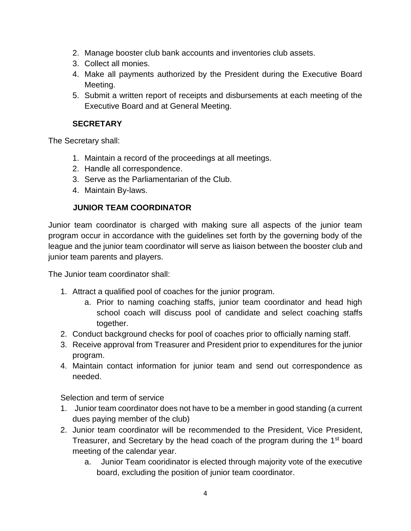- 2. Manage booster club bank accounts and inventories club assets.
- 3. Collect all monies.
- 4. Make all payments authorized by the President during the Executive Board Meeting.
- 5. Submit a written report of receipts and disbursements at each meeting of the Executive Board and at General Meeting.

### **SECRETARY**

The Secretary shall:

- 1. Maintain a record of the proceedings at all meetings.
- 2. Handle all correspondence.
- 3. Serve as the Parliamentarian of the Club.
- 4. Maintain By-laws.

# **JUNIOR TEAM COORDINATOR**

Junior team coordinator is charged with making sure all aspects of the junior team program occur in accordance with the guidelines set forth by the governing body of the league and the junior team coordinator will serve as liaison between the booster club and junior team parents and players.

The Junior team coordinator shall:

- 1. Attract a qualified pool of coaches for the junior program.
	- a. Prior to naming coaching staffs, junior team coordinator and head high school coach will discuss pool of candidate and select coaching staffs together.
- 2. Conduct background checks for pool of coaches prior to officially naming staff.
- 3. Receive approval from Treasurer and President prior to expenditures for the junior program.
- 4. Maintain contact information for junior team and send out correspondence as needed.

Selection and term of service

- 1. Junior team coordinator does not have to be a member in good standing (a current dues paying member of the club)
- 2. Junior team coordinator will be recommended to the President, Vice President, Treasurer, and Secretary by the head coach of the program during the 1<sup>st</sup> board meeting of the calendar year.
	- a. Junior Team cooridinator is elected through majority vote of the executive board, excluding the position of junior team coordinator.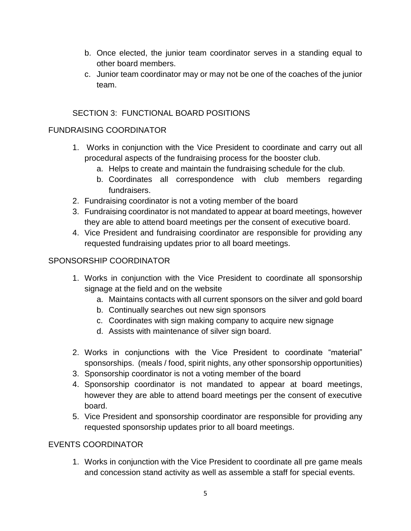- b. Once elected, the junior team coordinator serves in a standing equal to other board members.
- c. Junior team coordinator may or may not be one of the coaches of the junior team.

### SECTION 3: FUNCTIONAL BOARD POSITIONS

### FUNDRAISING COORDINATOR

- 1. Works in conjunction with the Vice President to coordinate and carry out all procedural aspects of the fundraising process for the booster club.
	- a. Helps to create and maintain the fundraising schedule for the club.
	- b. Coordinates all correspondence with club members regarding fundraisers.
- 2. Fundraising coordinator is not a voting member of the board
- 3. Fundraising coordinator is not mandated to appear at board meetings, however they are able to attend board meetings per the consent of executive board.
- 4. Vice President and fundraising coordinator are responsible for providing any requested fundraising updates prior to all board meetings.

### SPONSORSHIP COORDINATOR

- 1. Works in conjunction with the Vice President to coordinate all sponsorship signage at the field and on the website
	- a. Maintains contacts with all current sponsors on the silver and gold board
	- b. Continually searches out new sign sponsors
	- c. Coordinates with sign making company to acquire new signage
	- d. Assists with maintenance of silver sign board.
- 2. Works in conjunctions with the Vice President to coordinate "material" sponsorships. (meals / food, spirit nights, any other sponsorship opportunities)
- 3. Sponsorship coordinator is not a voting member of the board
- 4. Sponsorship coordinator is not mandated to appear at board meetings, however they are able to attend board meetings per the consent of executive board.
- 5. Vice President and sponsorship coordinator are responsible for providing any requested sponsorship updates prior to all board meetings.

### EVENTS COORDINATOR

1. Works in conjunction with the Vice President to coordinate all pre game meals and concession stand activity as well as assemble a staff for special events.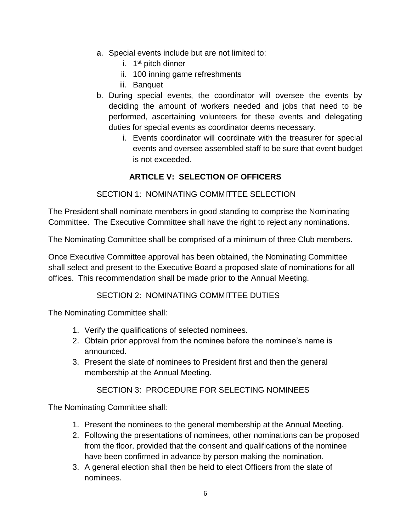- a. Special events include but are not limited to:
	- i. 1st pitch dinner
	- ii. 100 inning game refreshments
	- iii. Banquet
- b. During special events, the coordinator will oversee the events by deciding the amount of workers needed and jobs that need to be performed, ascertaining volunteers for these events and delegating duties for special events as coordinator deems necessary.
	- i. Events coordinator will coordinate with the treasurer for special events and oversee assembled staff to be sure that event budget is not exceeded.

## **ARTICLE V: SELECTION OF OFFICERS**

### SECTION 1: NOMINATING COMMITTEE SELECTION

The President shall nominate members in good standing to comprise the Nominating Committee. The Executive Committee shall have the right to reject any nominations.

The Nominating Committee shall be comprised of a minimum of three Club members.

Once Executive Committee approval has been obtained, the Nominating Committee shall select and present to the Executive Board a proposed slate of nominations for all offices. This recommendation shall be made prior to the Annual Meeting.

### SECTION 2: NOMINATING COMMITTEE DUTIES

The Nominating Committee shall:

- 1. Verify the qualifications of selected nominees.
- 2. Obtain prior approval from the nominee before the nominee's name is announced.
- 3. Present the slate of nominees to President first and then the general membership at the Annual Meeting.

### SECTION 3: PROCEDURE FOR SELECTING NOMINEES

The Nominating Committee shall:

- 1. Present the nominees to the general membership at the Annual Meeting.
- 2. Following the presentations of nominees, other nominations can be proposed from the floor, provided that the consent and qualifications of the nominee have been confirmed in advance by person making the nomination.
- 3. A general election shall then be held to elect Officers from the slate of nominees.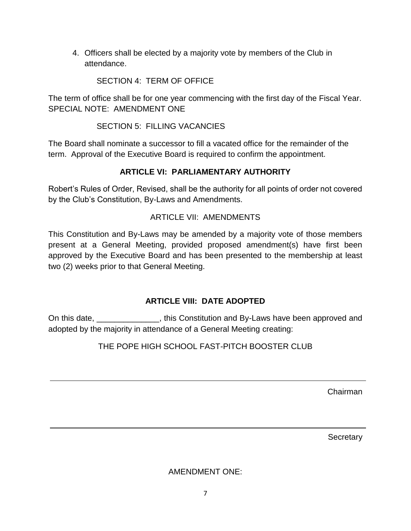4. Officers shall be elected by a majority vote by members of the Club in attendance.

SECTION 4: TERM OF OFFICE

The term of office shall be for one year commencing with the first day of the Fiscal Year. SPECIAL NOTE: AMENDMENT ONE

SECTION 5: FILLING VACANCIES

The Board shall nominate a successor to fill a vacated office for the remainder of the term. Approval of the Executive Board is required to confirm the appointment.

# **ARTICLE VI: PARLIAMENTARY AUTHORITY**

Robert's Rules of Order, Revised, shall be the authority for all points of order not covered by the Club's Constitution, By-Laws and Amendments.

## ARTICLE VII: AMENDMENTS

This Constitution and By-Laws may be amended by a majority vote of those members present at a General Meeting, provided proposed amendment(s) have first been approved by the Executive Board and has been presented to the membership at least two (2) weeks prior to that General Meeting.

## **ARTICLE VIII: DATE ADOPTED**

On this date, etc. This Constitution and By-Laws have been approved and adopted by the majority in attendance of a General Meeting creating:

THE POPE HIGH SCHOOL FAST-PITCH BOOSTER CLUB

Chairman

**Secretary** 

AMENDMENT ONE: